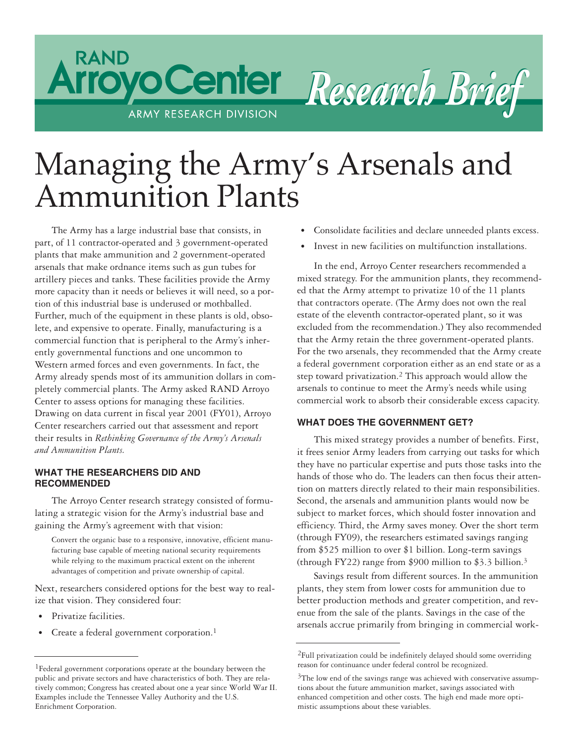# **RAND** *Research B Research Brief* **ARMY RESEARCH DIVISION**

# Managing the Army's Arsenals and Ammunition Plants

The Army has a large industrial base that consists, in part, of 11 contractor-operated and 3 government-operated plants that make ammunition and 2 government-operated arsenals that make ordnance items such as gun tubes for artillery pieces and tanks. These facilities provide the Army more capacity than it needs or believes it will need, so a portion of this industrial base is underused or mothballed. Further, much of the equipment in these plants is old, obsolete, and expensive to operate. Finally, manufacturing is a commercial function that is peripheral to the Army's inherently governmental functions and one uncommon to Western armed forces and even governments. In fact, the Army already spends most of its ammunition dollars in completely commercial plants. The Army asked RAND Arroyo Center to assess options for managing these facilities. Drawing on data current in fiscal year 2001 (FY01), Arroyo Center researchers carried out that assessment and report their results in *Rethinking Governance of the Army's Arsenals and Ammunition Plants.*

### **WHAT THE RESEARCHERS DID AND RECOMMENDED**

The Arroyo Center research strategy consisted of formulating a strategic vision for the Army's industrial base and gaining the Army's agreement with that vision:

Convert the organic base to a responsive, innovative, efficient manufacturing base capable of meeting national security requirements while relying to the maximum practical extent on the inherent advantages of competition and private ownership of capital.

Next, researchers considered options for the best way to realize that vision. They considered four:

- Privatize facilities.
- Create a federal government corporation.<sup>1</sup>
- Consolidate facilities and declare unneeded plants excess.
- Invest in new facilities on multifunction installations.

In the end, Arroyo Center researchers recommended a mixed strategy. For the ammunition plants, they recommended that the Army attempt to privatize 10 of the 11 plants that contractors operate. (The Army does not own the real estate of the eleventh contractor-operated plant, so it was excluded from the recommendation.) They also recommended that the Army retain the three government-operated plants. For the two arsenals, they recommended that the Army create a federal government corporation either as an end state or as a step toward privatization.2 This approach would allow the arsenals to continue to meet the Army's needs while using commercial work to absorb their considerable excess capacity.

#### **WHAT DOES THE GOVERNMENT GET?**

This mixed strategy provides a number of benefits. First, it frees senior Army leaders from carrying out tasks for which they have no particular expertise and puts those tasks into the hands of those who do. The leaders can then focus their attention on matters directly related to their main responsibilities. Second, the arsenals and ammunition plants would now be subject to market forces, which should foster innovation and efficiency. Third, the Army saves money. Over the short term (through FY09), the researchers estimated savings ranging from \$525 million to over \$1 billion. Long-term savings (through FY22) range from \$900 million to \$3.3 billion.<sup>3</sup>

Savings result from different sources. In the ammunition plants, they stem from lower costs for ammunition due to better production methods and greater competition, and revenue from the sale of the plants. Savings in the case of the arsenals accrue primarily from bringing in commercial work-

<sup>&</sup>lt;sup>1</sup>Federal government corporations operate at the boundary between the public and private sectors and have characteristics of both. They are relatively common; Congress has created about one a year since World War II. Examples include the Tennessee Valley Authority and the U.S. Enrichment Corporation.

<sup>2</sup>Full privatization could be indefinitely delayed should some overriding reason for continuance under federal control be recognized.

<sup>&</sup>lt;sup>3</sup>The low end of the savings range was achieved with conservative assumptions about the future ammunition market, savings associated with enhanced competition and other costs. The high end made more optimistic assumptions about these variables.